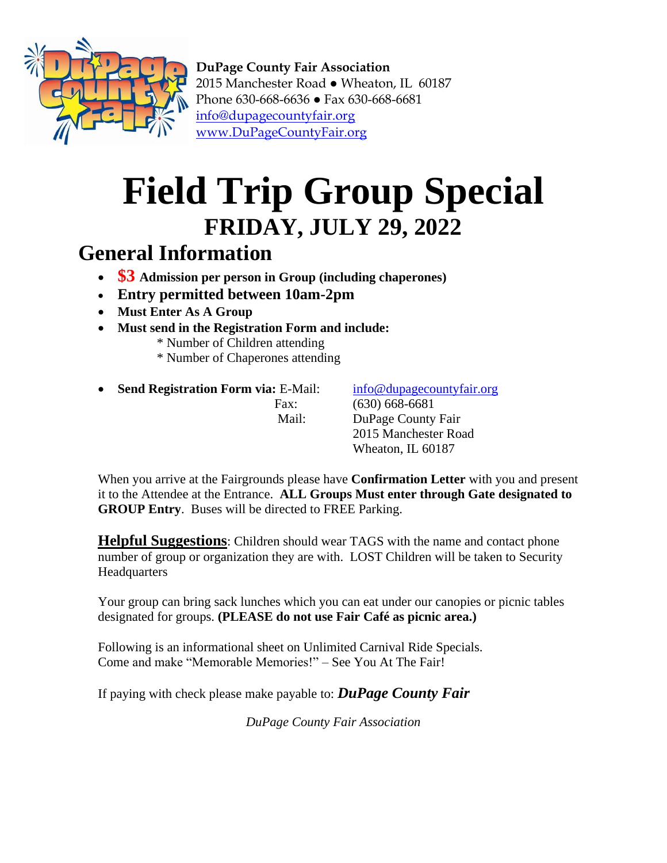

**DuPage County Fair Association** 2015 Manchester Road ● Wheaton, IL 60187 Phone 630-668-6636 ● Fax 630-668-6681 [info@dupagecountyfair.org](mailto:info@dupagecountyfair.org) [www.DuPageCountyFair.org](http://www.dupagecountyfair.org/)

## **Field Trip Group Special FRIDAY, JULY 29, 2022**

## **General Information**

- **\$3 Admission per person in Group (including chaperones)**
- **Entry permitted between 10am-2pm**
- **Must Enter As A Group**
- **Must send in the Registration Form and include:**
	- \* Number of Children attending
	- \* Number of Chaperones attending
- **Send Registration Form via:** E-Mail: [info@dupagecountyfair.org](mailto:info@dupagecountyfair.org)

Fax: (630) 668-6681 Mail: DuPage County Fair 2015 Manchester Road Wheaton, IL 60187

When you arrive at the Fairgrounds please have **Confirmation Letter** with you and present it to the Attendee at the Entrance. **ALL Groups Must enter through Gate designated to GROUP Entry**. Buses will be directed to FREE Parking.

**Helpful Suggestions**: Children should wear TAGS with the name and contact phone number of group or organization they are with. LOST Children will be taken to Security **Headquarters** 

Your group can bring sack lunches which you can eat under our canopies or picnic tables designated for groups. **(PLEASE do not use Fair Café as picnic area.)**

Following is an informational sheet on Unlimited Carnival Ride Specials. Come and make "Memorable Memories!" – See You At The Fair!

If paying with check please make payable to: *DuPage County Fair*

*DuPage County Fair Association*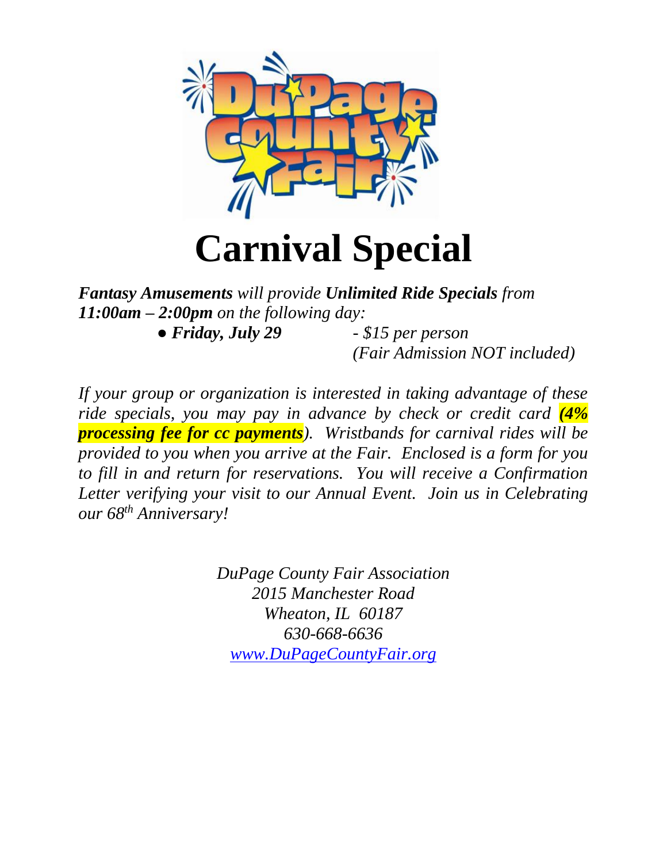

*Fantasy Amusements will provide Unlimited Ride Specials from 11:00am – 2:00pm on the following day:*

*● Friday, July 29 - \$15 per person*

*(Fair Admission NOT included)*

*If your group or organization is interested in taking advantage of these ride specials, you may pay in advance by check or credit card (4% processing fee for cc payments). Wristbands for carnival rides will be provided to you when you arrive at the Fair. Enclosed is a form for you to fill in and return for reservations. You will receive a Confirmation Letter verifying your visit to our Annual Event. Join us in Celebrating our 68 th Anniversary!*

> *DuPage County Fair Association 2015 Manchester Road Wheaton, IL 60187 630-668-6636 [www.DuPageCountyFair.org](http://www.dupagecountyfair.org/)*